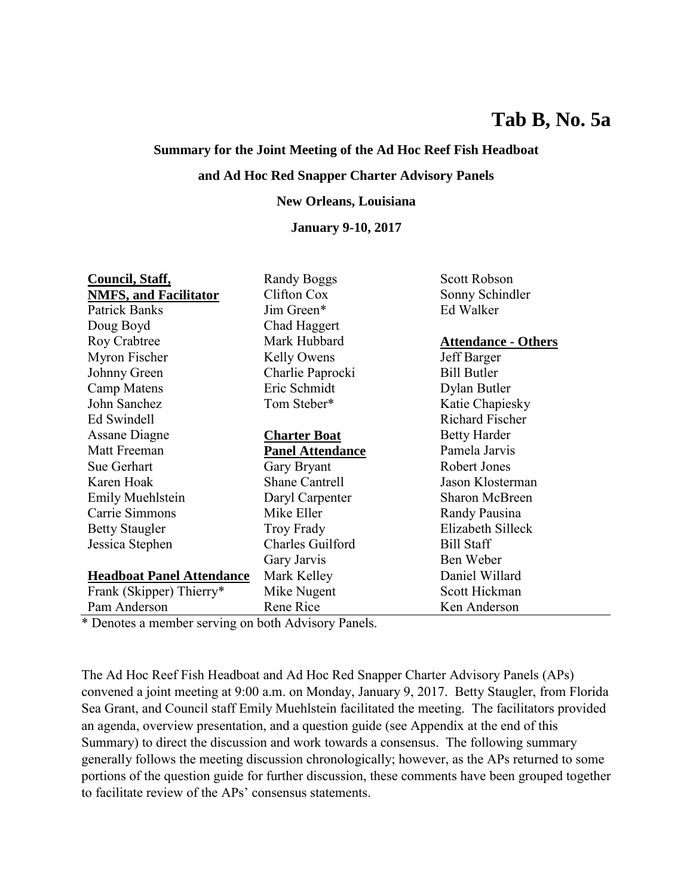# **Tab B, No. 5a**

## **Summary for the Joint Meeting of the Ad Hoc Reef Fish Headboat**

## **and Ad Hoc Red Snapper Charter Advisory Panels**

#### **New Orleans, Louisiana**

#### **January 9-10, 2017**

| Council, Staff,                  | Randy Boggs             | <b>Scott Robson</b>        |
|----------------------------------|-------------------------|----------------------------|
| <b>NMFS, and Facilitator</b>     | Clifton Cox             | Sonny Schindler            |
| Patrick Banks                    | Jim Green*              | Ed Walker                  |
| Doug Boyd                        | Chad Haggert            |                            |
| <b>Roy Crabtree</b>              | Mark Hubbard            | <b>Attendance - Others</b> |
| Myron Fischer                    | Kelly Owens             | Jeff Barger                |
| Johnny Green                     | Charlie Paprocki        | <b>Bill Butler</b>         |
| Camp Matens                      | Eric Schmidt            | Dylan Butler               |
| John Sanchez                     | Tom Steber*             | Katie Chapiesky            |
| Ed Swindell                      |                         | <b>Richard Fischer</b>     |
| <b>Assane Diagne</b>             | <b>Charter Boat</b>     | <b>Betty Harder</b>        |
| Matt Freeman                     | Panel Attendance        | Pamela Jarvis              |
| Sue Gerhart                      | Gary Bryant             | Robert Jones               |
| Karen Hoak                       | <b>Shane Cantrell</b>   | Jason Klosterman           |
| Emily Muehlstein                 | Daryl Carpenter         | Sharon McBreen             |
| Carrie Simmons                   | Mike Eller              | Randy Pausina              |
| <b>Betty Staugler</b>            | <b>Troy Frady</b>       | Elizabeth Silleck          |
| Jessica Stephen                  | <b>Charles Guilford</b> | <b>Bill Staff</b>          |
|                                  | Gary Jarvis             | Ben Weber                  |
| <b>Headboat Panel Attendance</b> | Mark Kelley             | Daniel Willard             |
| Frank (Skipper) Thierry*         | Mike Nugent             | Scott Hickman              |
| Pam Anderson                     | Rene Rice               | Ken Anderson               |

\* Denotes a member serving on both Advisory Panels.

The Ad Hoc Reef Fish Headboat and Ad Hoc Red Snapper Charter Advisory Panels (APs) convened a joint meeting at 9:00 a.m. on Monday, January 9, 2017. Betty Staugler, from Florida Sea Grant, and Council staff Emily Muehlstein facilitated the meeting. The facilitators provided an agenda, overview presentation, and a question guide (see Appendix at the end of this Summary) to direct the discussion and work towards a consensus. The following summary generally follows the meeting discussion chronologically; however, as the APs returned to some portions of the question guide for further discussion, these comments have been grouped together to facilitate review of the APs' consensus statements.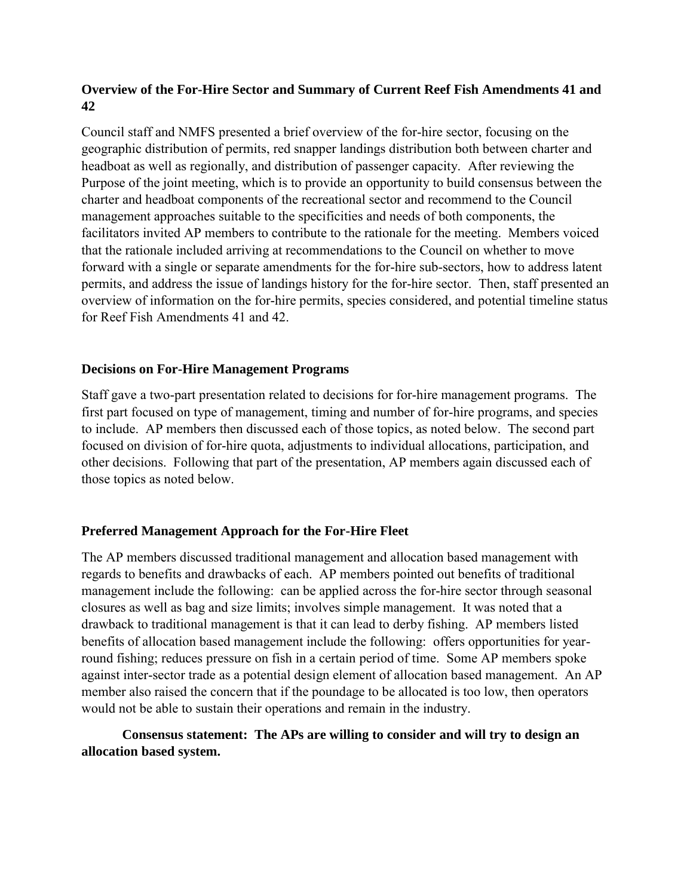## **Overview of the For-Hire Sector and Summary of Current Reef Fish Amendments 41 and 42**

Council staff and NMFS presented a brief overview of the for-hire sector, focusing on the geographic distribution of permits, red snapper landings distribution both between charter and headboat as well as regionally, and distribution of passenger capacity. After reviewing the Purpose of the joint meeting, which is to provide an opportunity to build consensus between the charter and headboat components of the recreational sector and recommend to the Council management approaches suitable to the specificities and needs of both components, the facilitators invited AP members to contribute to the rationale for the meeting. Members voiced that the rationale included arriving at recommendations to the Council on whether to move forward with a single or separate amendments for the for-hire sub-sectors, how to address latent permits, and address the issue of landings history for the for-hire sector. Then, staff presented an overview of information on the for-hire permits, species considered, and potential timeline status for Reef Fish Amendments 41 and 42.

## **Decisions on For-Hire Management Programs**

Staff gave a two-part presentation related to decisions for for-hire management programs. The first part focused on type of management, timing and number of for-hire programs, and species to include. AP members then discussed each of those topics, as noted below. The second part focused on division of for-hire quota, adjustments to individual allocations, participation, and other decisions. Following that part of the presentation, AP members again discussed each of those topics as noted below.

## **Preferred Management Approach for the For-Hire Fleet**

The AP members discussed traditional management and allocation based management with regards to benefits and drawbacks of each. AP members pointed out benefits of traditional management include the following: can be applied across the for-hire sector through seasonal closures as well as bag and size limits; involves simple management. It was noted that a drawback to traditional management is that it can lead to derby fishing. AP members listed benefits of allocation based management include the following: offers opportunities for yearround fishing; reduces pressure on fish in a certain period of time. Some AP members spoke against inter-sector trade as a potential design element of allocation based management. An AP member also raised the concern that if the poundage to be allocated is too low, then operators would not be able to sustain their operations and remain in the industry.

## **Consensus statement: The APs are willing to consider and will try to design an allocation based system.**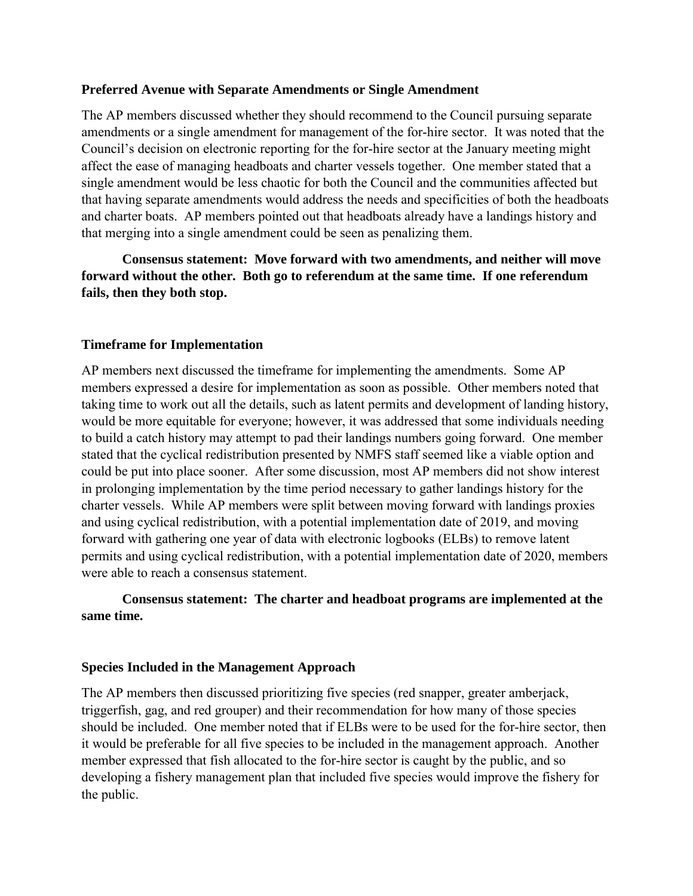#### **Preferred Avenue with Separate Amendments or Single Amendment**

The AP members discussed whether they should recommend to the Council pursuing separate amendments or a single amendment for management of the for-hire sector. It was noted that the Council's decision on electronic reporting for the for-hire sector at the January meeting might affect the ease of managing headboats and charter vessels together. One member stated that a single amendment would be less chaotic for both the Council and the communities affected but that having separate amendments would address the needs and specificities of both the headboats and charter boats. AP members pointed out that headboats already have a landings history and that merging into a single amendment could be seen as penalizing them.

 **Consensus statement: Move forward with two amendments, and neither will move forward without the other. Both go to referendum at the same time. If one referendum fails, then they both stop.** 

## **Timeframe for Implementation**

AP members next discussed the timeframe for implementing the amendments. Some AP members expressed a desire for implementation as soon as possible. Other members noted that taking time to work out all the details, such as latent permits and development of landing history, would be more equitable for everyone; however, it was addressed that some individuals needing to build a catch history may attempt to pad their landings numbers going forward. One member stated that the cyclical redistribution presented by NMFS staff seemed like a viable option and could be put into place sooner. After some discussion, most AP members did not show interest in prolonging implementation by the time period necessary to gather landings history for the charter vessels. While AP members were split between moving forward with landings proxies and using cyclical redistribution, with a potential implementation date of 2019, and moving forward with gathering one year of data with electronic logbooks (ELBs) to remove latent permits and using cyclical redistribution, with a potential implementation date of 2020, members were able to reach a consensus statement.

# **Consensus statement: The charter and headboat programs are implemented at the same time.**

#### **Species Included in the Management Approach**

The AP members then discussed prioritizing five species (red snapper, greater amberjack, triggerfish, gag, and red grouper) and their recommendation for how many of those species should be included. One member noted that if ELBs were to be used for the for-hire sector, then it would be preferable for all five species to be included in the management approach. Another member expressed that fish allocated to the for-hire sector is caught by the public, and so developing a fishery management plan that included five species would improve the fishery for the public.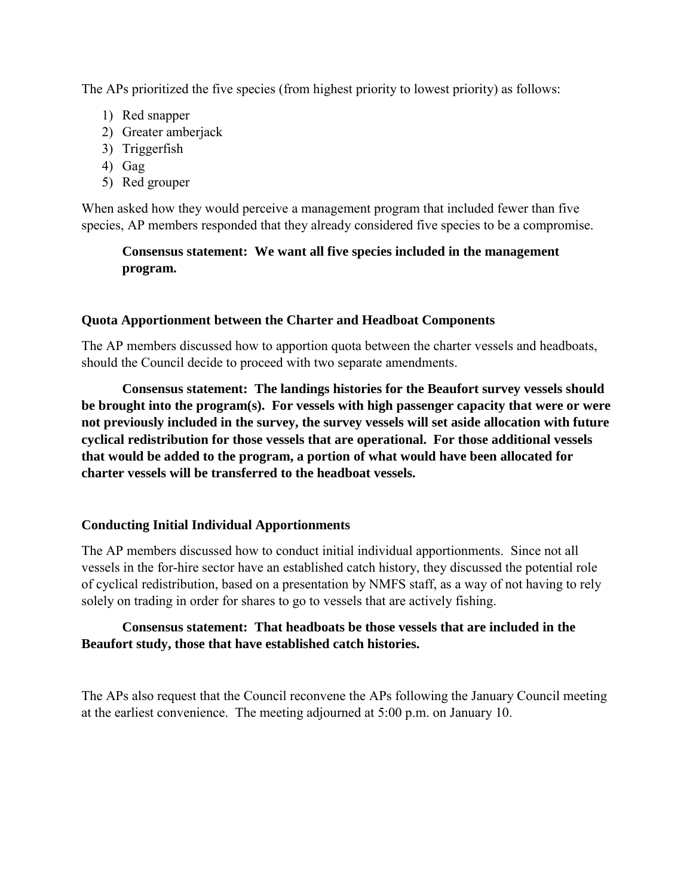The APs prioritized the five species (from highest priority to lowest priority) as follows:

- 1) Red snapper
- 2) Greater amberjack
- 3) Triggerfish
- 4) Gag
- 5) Red grouper

When asked how they would perceive a management program that included fewer than five species, AP members responded that they already considered five species to be a compromise.

## **Consensus statement: We want all five species included in the management program.**

## **Quota Apportionment between the Charter and Headboat Components**

The AP members discussed how to apportion quota between the charter vessels and headboats, should the Council decide to proceed with two separate amendments.

**Consensus statement: The landings histories for the Beaufort survey vessels should be brought into the program(s). For vessels with high passenger capacity that were or were not previously included in the survey, the survey vessels will set aside allocation with future cyclical redistribution for those vessels that are operational. For those additional vessels that would be added to the program, a portion of what would have been allocated for charter vessels will be transferred to the headboat vessels.** 

#### **Conducting Initial Individual Apportionments**

The AP members discussed how to conduct initial individual apportionments. Since not all vessels in the for-hire sector have an established catch history, they discussed the potential role of cyclical redistribution, based on a presentation by NMFS staff, as a way of not having to rely solely on trading in order for shares to go to vessels that are actively fishing.

## **Consensus statement: That headboats be those vessels that are included in the Beaufort study, those that have established catch histories.**

The APs also request that the Council reconvene the APs following the January Council meeting at the earliest convenience. The meeting adjourned at 5:00 p.m. on January 10.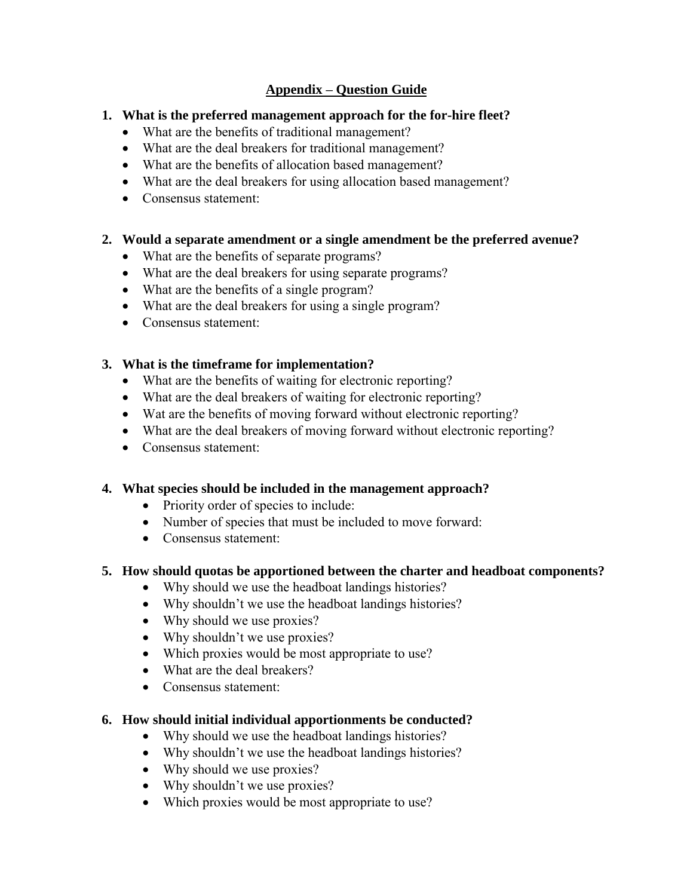# **Appendix – Question Guide**

# **1. What is the preferred management approach for the for-hire fleet?**

- What are the benefits of traditional management?
- What are the deal breakers for traditional management?
- What are the benefits of allocation based management?
- What are the deal breakers for using allocation based management?
- Consensus statement:

# **2. Would a separate amendment or a single amendment be the preferred avenue?**

- What are the benefits of separate programs?
- What are the deal breakers for using separate programs?
- What are the benefits of a single program?
- What are the deal breakers for using a single program?
- Consensus statement:

# **3. What is the timeframe for implementation?**

- What are the benefits of waiting for electronic reporting?
- What are the deal breakers of waiting for electronic reporting?
- Wat are the benefits of moving forward without electronic reporting?
- What are the deal breakers of moving forward without electronic reporting?
- Consensus statement:

# **4. What species should be included in the management approach?**

- Priority order of species to include:
- Number of species that must be included to move forward:
- Consensus statement:

# **5. How should quotas be apportioned between the charter and headboat components?**

- Why should we use the headboat landings histories?
- Why shouldn't we use the headboat landings histories?
- Why should we use proxies?
- Why shouldn't we use proxies?
- Which proxies would be most appropriate to use?
- What are the deal breakers?
- Consensus statement:

# **6. How should initial individual apportionments be conducted?**

- Why should we use the headboat landings histories?
- Why shouldn't we use the headboat landings histories?
- Why should we use proxies?
- Why shouldn't we use proxies?
- Which proxies would be most appropriate to use?